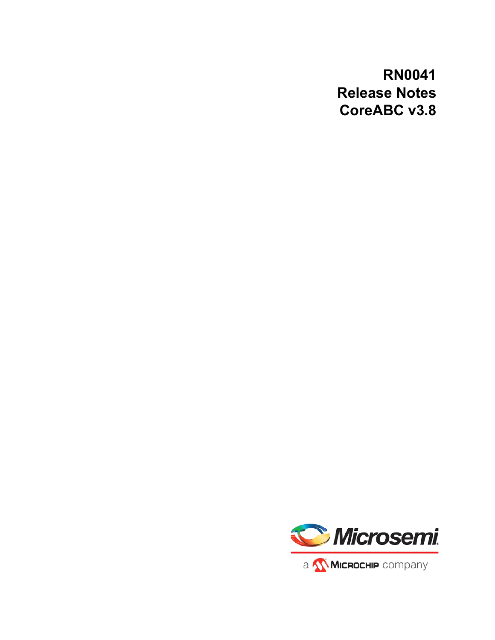# **RN0041 Release Notes CoreABC v3.8**

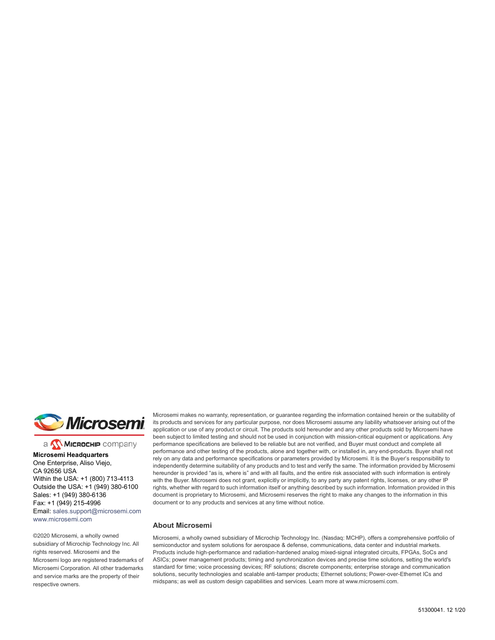

a **WIMICROCHIP** company

**Microsemi Headquarters** One Enterprise, Aliso Viejo, CA 92656 USA Within the USA: +1 (800) 713-4113 Outside the USA: +1 (949) 380-6100 Sales: +1 (949) 380-6136 Fax: +1 (949) 215-4996 Email: [sales.support@microsemi.com](mailto:sales.support@microsemi.com) [www.microsemi.com](http://www.microsemi.com)

©2020 Microsemi, a wholly owned subsidiary of Microchip Technology Inc. All rights reserved. Microsemi and the Microsemi logo are registered trademarks of Microsemi Corporation. All other trademarks and service marks are the property of their respective owners.

Microsemi makes no warranty, representation, or guarantee regarding the information contained herein or the suitability of its products and services for any particular purpose, nor does Microsemi assume any liability whatsoever arising out of the application or use of any product or circuit. The products sold hereunder and any other products sold by Microsemi have been subject to limited testing and should not be used in conjunction with mission-critical equipment or applications. Any performance specifications are believed to be reliable but are not verified, and Buyer must conduct and complete all performance and other testing of the products, alone and together with, or installed in, any end-products. Buyer shall not rely on any data and performance specifications or parameters provided by Microsemi. It is the Buyer's responsibility to independently determine suitability of any products and to test and verify the same. The information provided by Microsemi hereunder is provided "as is, where is" and with all faults, and the entire risk associated with such information is entirely with the Buyer. Microsemi does not grant, explicitly or implicitly, to any party any patent rights, licenses, or any other IP rights, whether with regard to such information itself or anything described by such information. Information provided in this document is proprietary to Microsemi, and Microsemi reserves the right to make any changes to the information in this document or to any products and services at any time without notice.

#### **About Microsemi**

Microsemi, a wholly owned subsidiary of Microchip Technology Inc. (Nasdaq: MCHP), offers a comprehensive portfolio of semiconductor and system solutions for aerospace & defense, communications, data center and industrial markets. Products include high-performance and radiation-hardened analog mixed-signal integrated circuits, FPGAs, SoCs and ASICs; power management products; timing and synchronization devices and precise time solutions, setting the world's standard for time; voice processing devices; RF solutions; discrete components; enterprise storage and communication solutions, security technologies and scalable anti-tamper products; Ethernet solutions; Power-over-Ethernet ICs and midspans; as well as custom design capabilities and services. Learn more at www.microsemi.com.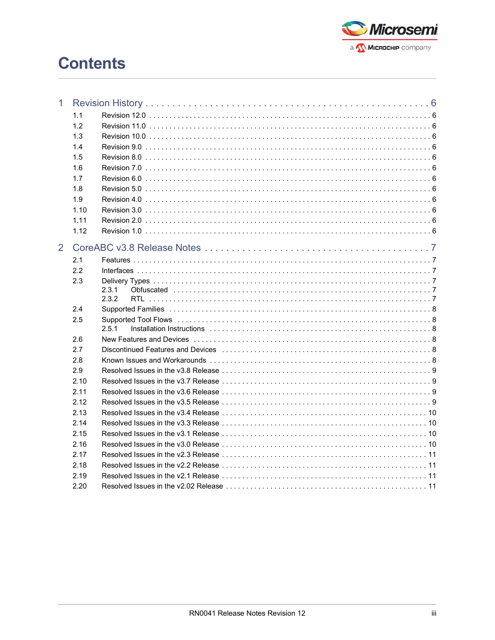

# **Contents**

| $\mathbf 1$    |      |                                                                                                                 |
|----------------|------|-----------------------------------------------------------------------------------------------------------------|
|                | 1.1  |                                                                                                                 |
|                | 1.2  |                                                                                                                 |
|                | 1.3  |                                                                                                                 |
|                | 1.4  |                                                                                                                 |
|                | 1.5  |                                                                                                                 |
|                | 1.6  |                                                                                                                 |
|                | 1.7  |                                                                                                                 |
|                | 1.8  |                                                                                                                 |
|                | 1.9  |                                                                                                                 |
|                | 1.10 |                                                                                                                 |
|                | 1.11 |                                                                                                                 |
|                | 1.12 |                                                                                                                 |
| $\overline{2}$ |      |                                                                                                                 |
|                | 2.1  |                                                                                                                 |
|                | 2.2  |                                                                                                                 |
|                | 2.3  |                                                                                                                 |
|                |      | 2.3.1                                                                                                           |
|                |      | 2.3.2                                                                                                           |
|                | 2.4  | Supported Families with the contract of the contract of the state of the state of the state of the state of the |
|                | 2.5  |                                                                                                                 |
|                |      | 2.5.1                                                                                                           |
|                | 2.6  |                                                                                                                 |
|                | 2.7  |                                                                                                                 |
|                | 2.8  |                                                                                                                 |
|                | 2.9  |                                                                                                                 |
|                | 2.10 |                                                                                                                 |
|                | 2.11 |                                                                                                                 |
|                | 2.12 |                                                                                                                 |
|                | 2.13 |                                                                                                                 |
|                | 2.14 |                                                                                                                 |
|                | 2.15 |                                                                                                                 |
|                | 2.16 |                                                                                                                 |
|                | 2.17 |                                                                                                                 |
|                | 2.18 |                                                                                                                 |
|                | 2.19 |                                                                                                                 |
|                | 2.20 |                                                                                                                 |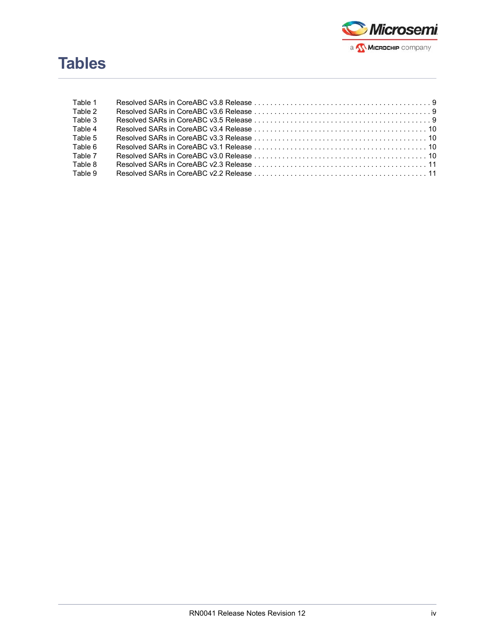

# **Tables**

| Table 1 |                                              |  |
|---------|----------------------------------------------|--|
| Table 2 |                                              |  |
| Table 3 |                                              |  |
| Table 4 |                                              |  |
| Table 5 |                                              |  |
| Table 6 |                                              |  |
| Table 7 |                                              |  |
| Table 8 | <b>Resolved SARs in CoreABC v2.3 Release</b> |  |
| Table 9 |                                              |  |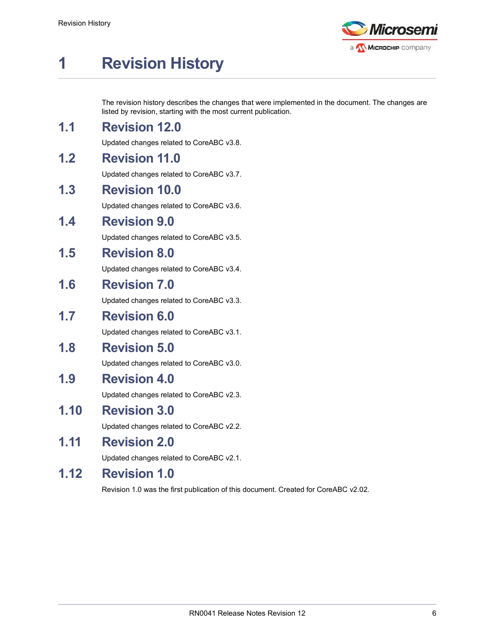

# <span id="page-4-0"></span>**1 Revision History**

The revision history describes the changes that were implemented in the document. The changes are listed by revision, starting with the most current publication.

## <span id="page-4-1"></span>**1.1 Revision 12.0**

Updated changes related to CoreABC v3.8.

# <span id="page-4-2"></span>**1.2 Revision 11.0**

Updated changes related to CoreABC v3.7.

### <span id="page-4-3"></span>**1.3 Revision 10.0**

Updated changes related to CoreABC v3.6.

#### <span id="page-4-4"></span>**1.4 Revision 9.0**

Updated changes related to CoreABC v3.5.

#### <span id="page-4-5"></span>**1.5 Revision 8.0**

Updated changes related to CoreABC v3.4.

#### <span id="page-4-6"></span>**1.6 Revision 7.0**

Updated changes related to CoreABC v3.3.

#### <span id="page-4-7"></span>**1.7 Revision 6.0**

Updated changes related to CoreABC v3.1.

#### <span id="page-4-8"></span>**1.8 Revision 5.0**

Updated changes related to CoreABC v3.0.

### <span id="page-4-9"></span>**1.9 Revision 4.0**

Updated changes related to CoreABC v2.3.

#### <span id="page-4-10"></span>**1.10 Revision 3.0**

Updated changes related to CoreABC v2.2.

## <span id="page-4-11"></span>**1.11 Revision 2.0**

Updated changes related to CoreABC v2.1.

### <span id="page-4-12"></span>**1.12 Revision 1.0**

Revision 1.0 was the first publication of this document. Created for CoreABC v2.02.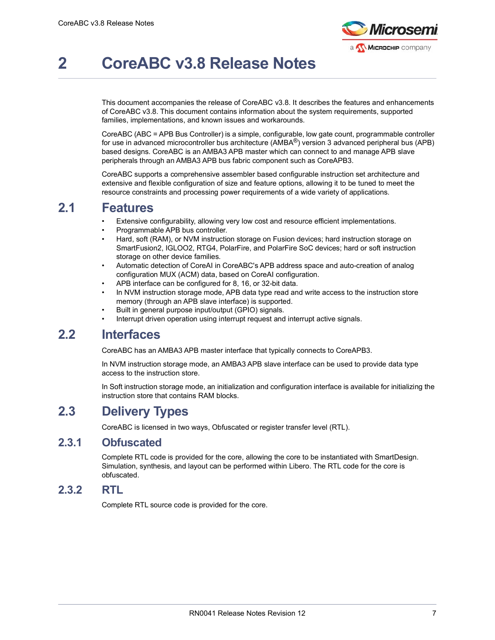

# <span id="page-5-0"></span>**2 CoreABC v3.8 Release Notes**

This document accompanies the release of CoreABC v3.8. It describes the features and enhancements of CoreABC v3.8. This document contains information about the system requirements, supported families, implementations, and known issues and workarounds.

CoreABC (ABC = APB Bus Controller) is a simple, configurable, low gate count, programmable controller for use in advanced microcontroller bus architecture (AMBA®) version 3 advanced peripheral bus (APB) based designs. CoreABC is an AMBA3 APB master which can connect to and manage APB slave peripherals through an AMBA3 APB bus fabric component such as CoreAPB3.

CoreABC supports a comprehensive assembler based configurable instruction set architecture and extensive and flexible configuration of size and feature options, allowing it to be tuned to meet the resource constraints and processing power requirements of a wide variety of applications.

#### <span id="page-5-1"></span>**2.1 Features**

- Extensive configurability, allowing very low cost and resource efficient implementations.
- Programmable APB bus controller.
- Hard, soft (RAM), or NVM instruction storage on Fusion devices; hard instruction storage on SmartFusion2, IGLOO2, RTG4, PolarFire, and PolarFire SoC devices; hard or soft instruction storage on other device families.
- Automatic detection of CoreAI in CoreABC's APB address space and auto-creation of analog configuration MUX (ACM) data, based on CoreAI configuration.
- APB interface can be configured for 8, 16, or 32-bit data.
- In NVM instruction storage mode, APB data type read and write access to the instruction store memory (through an APB slave interface) is supported.
- Built in general purpose input/output (GPIO) signals.
- Interrupt driven operation using interrupt request and interrupt active signals.

### <span id="page-5-2"></span>**2.2 Interfaces**

CoreABC has an AMBA3 APB master interface that typically connects to CoreAPB3.

In NVM instruction storage mode, an AMBA3 APB slave interface can be used to provide data type access to the instruction store.

In Soft instruction storage mode, an initialization and configuration interface is available for initializing the instruction store that contains RAM blocks.

# <span id="page-5-3"></span>**2.3 Delivery Types**

CoreABC is licensed in two ways, Obfuscated or register transfer level (RTL).

#### <span id="page-5-4"></span>**2.3.1 Obfuscated**

Complete RTL code is provided for the core, allowing the core to be instantiated with SmartDesign. Simulation, synthesis, and layout can be performed within Libero. The RTL code for the core is obfuscated.

#### <span id="page-5-5"></span>**2.3.2 RTL**

Complete RTL source code is provided for the core.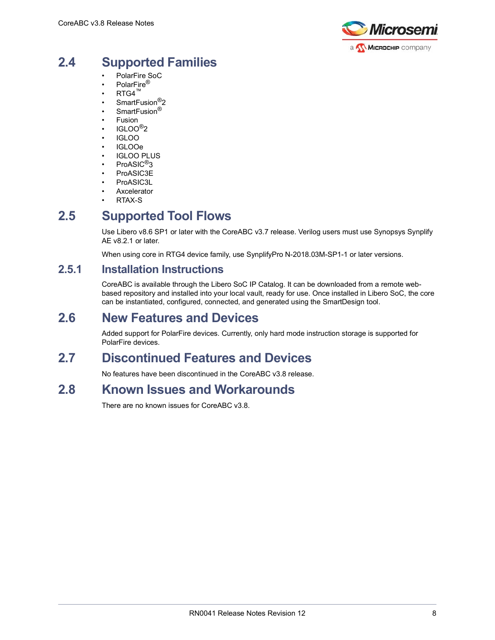

# <span id="page-6-0"></span>**2.4 Supported Families**

- PolarFire SoC
- PolarFire®
- $RTG4^m$
- SmartFusion<sup>®</sup>2
- SmartFusion<sup>®</sup>
- **Fusion**
- IGLOO®2
- IGLOO
- IGLOOe **IGLOO PLUS**
- ProASIC<sup>®</sup>3
- ProASIC3E
- ProASIC3L
- **Axcelerator**
- RTAX-S

# <span id="page-6-1"></span>**2.5 Supported Tool Flows**

Use Libero v8.6 SP1 or later with the CoreABC v3.7 release. Verilog users must use Synopsys Synplify AE v8.2.1 or later.

When using core in RTG4 device family, use SynplifyPro N-2018.03M-SP1-1 or later versions.

#### <span id="page-6-2"></span>**2.5.1 Installation Instructions**

CoreABC is available through the Libero SoC IP Catalog. It can be downloaded from a remote webbased repository and installed into your local vault, ready for use. Once installed in Libero SoC, the core can be instantiated, configured, connected, and generated using the SmartDesign tool.

### <span id="page-6-3"></span>**2.6 New Features and Devices**

Added support for PolarFire devices. Currently, only hard mode instruction storage is supported for PolarFire devices.

# <span id="page-6-4"></span>**2.7 Discontinued Features and Devices**

No features have been discontinued in the CoreABC v3.8 release.

# <span id="page-6-5"></span>**2.8 Known Issues and Workarounds**

There are no known issues for CoreABC v3.8.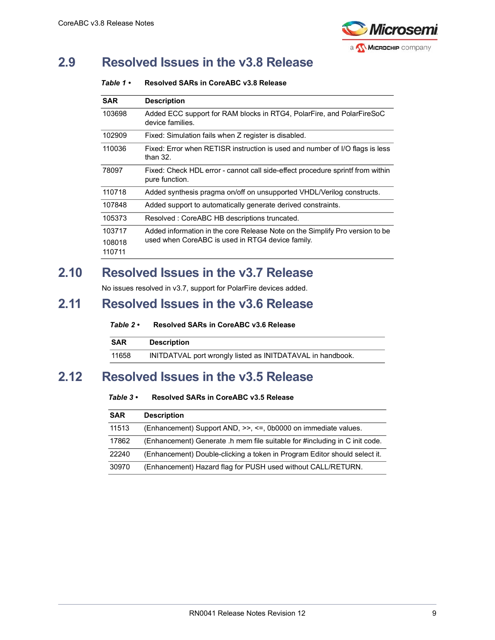

# <span id="page-7-0"></span>**2.9 Resolved Issues in the v3.8 Release**

#### <span id="page-7-4"></span>*Table 1 •* **Resolved SARs in CoreABC v3.8 Release**

| <b>SAR</b> | <b>Description</b>                                                                               |
|------------|--------------------------------------------------------------------------------------------------|
| 103698     | Added ECC support for RAM blocks in RTG4, PolarFire, and PolarFireSoC<br>device families.        |
| 102909     | Fixed: Simulation fails when Z register is disabled.                                             |
| 110036     | Fixed: Error when RETISR instruction is used and number of I/O flags is less<br>than $32.$       |
| 78097      | Fixed: Check HDL error - cannot call side-effect procedure sprintf from within<br>pure function. |
| 110718     | Added synthesis pragma on/off on unsupported VHDL/Verilog constructs.                            |
| 107848     | Added support to automatically generate derived constraints.                                     |
| 105373     | Resolved: CoreABC HB descriptions truncated.                                                     |
| 103717     | Added information in the core Release Note on the Simplify Pro version to be                     |
| 108018     | used when CoreABC is used in RTG4 device family.                                                 |
| 110711     |                                                                                                  |

## <span id="page-7-1"></span>**2.10 Resolved Issues in the v3.7 Release**

No issues resolved in v3.7, support for PolarFire devices added.

# <span id="page-7-2"></span>**2.11 Resolved Issues in the v3.6 Release**

#### <span id="page-7-5"></span>*Table 2 •* **Resolved SARs in CoreABC v3.6 Release**

| <b>SAR</b> | <b>Description</b>                                         |
|------------|------------------------------------------------------------|
| 11658      | INITDATVAL port wrongly listed as INITDATAVAL in handbook. |

# <span id="page-7-3"></span>**2.12 Resolved Issues in the v3.5 Release**

#### <span id="page-7-6"></span>*Table 3 •* **Resolved SARs in CoreABC v3.5 Release**

| <b>SAR</b> | <b>Description</b>                                                         |
|------------|----------------------------------------------------------------------------|
| 11513      | (Enhancement) Support AND, >>, <=, 0b0000 on immediate values.             |
| 17862      | (Enhancement) Generate .h mem file suitable for #including in C init code. |
| 22240      | (Enhancement) Double-clicking a token in Program Editor should select it.  |
| 30970      | (Enhancement) Hazard flag for PUSH used without CALL/RETURN.               |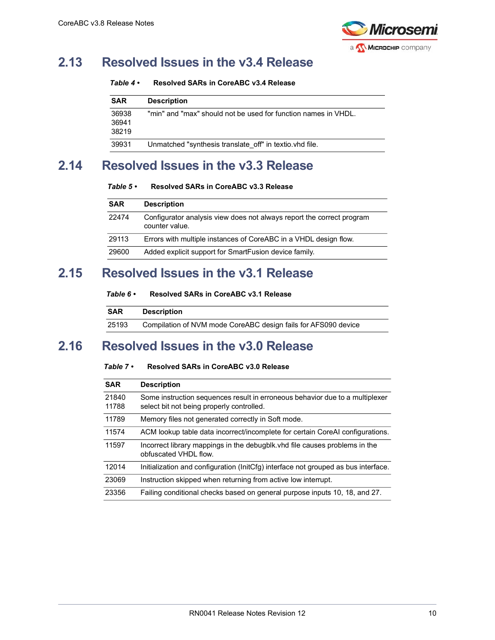

# <span id="page-8-0"></span>**2.13 Resolved Issues in the v3.4 Release**

<span id="page-8-4"></span>

| Table 4 $\cdot$<br>Resolved SARs in CoreABC v3.4 Release |  |  |
|----------------------------------------------------------|--|--|
|----------------------------------------------------------|--|--|

| <b>SAR</b>     | <b>Description</b>                                             |
|----------------|----------------------------------------------------------------|
| 36938<br>36941 | "min" and "max" should not be used for function names in VHDL. |
| 38219          |                                                                |
| 39931          | Unmatched "synthesis translate off" in textio. vhd file.       |

# <span id="page-8-1"></span>**2.14 Resolved Issues in the v3.3 Release**

<span id="page-8-5"></span>*Table 5 •* **Resolved SARs in CoreABC v3.3 Release**

| <b>SAR</b> | <b>Description</b>                                                                      |
|------------|-----------------------------------------------------------------------------------------|
| 22474      | Configurator analysis view does not always report the correct program<br>counter value. |
| 29113      | Errors with multiple instances of CoreABC in a VHDL design flow.                        |
| 29600      | Added explicit support for SmartFusion device family.                                   |

# <span id="page-8-2"></span>**2.15 Resolved Issues in the v3.1 Release**

<span id="page-8-6"></span>

| Table 6 • | Resolved SARs in CoreABC v3.1 Release |  |
|-----------|---------------------------------------|--|
|           |                                       |  |

| <b>SAR</b> | <b>Description</b>                                             |
|------------|----------------------------------------------------------------|
| 25193      | Compilation of NVM mode CoreABC design fails for AFS090 device |

# <span id="page-8-3"></span>**2.16 Resolved Issues in the v3.0 Release**

#### <span id="page-8-7"></span>*Table 7 •* **Resolved SARs in CoreABC v3.0 Release**

| <b>SAR</b>     | <b>Description</b>                                                                                                        |
|----------------|---------------------------------------------------------------------------------------------------------------------------|
| 21840<br>11788 | Some instruction sequences result in erroneous behavior due to a multiplexer<br>select bit not being properly controlled. |
| 11789          | Memory files not generated correctly in Soft mode.                                                                        |
| 11574          | ACM lookup table data incorrect/incomplete for certain CoreAI configurations.                                             |
| 11597          | Incorrect library mappings in the debugblk. vhd file causes problems in the<br>obfuscated VHDI flow.                      |
| 12014          | Initialization and configuration (InitCfg) interface not grouped as bus interface.                                        |
| 23069          | Instruction skipped when returning from active low interrupt.                                                             |
| 23356          | Failing conditional checks based on general purpose inputs 10, 18, and 27.                                                |